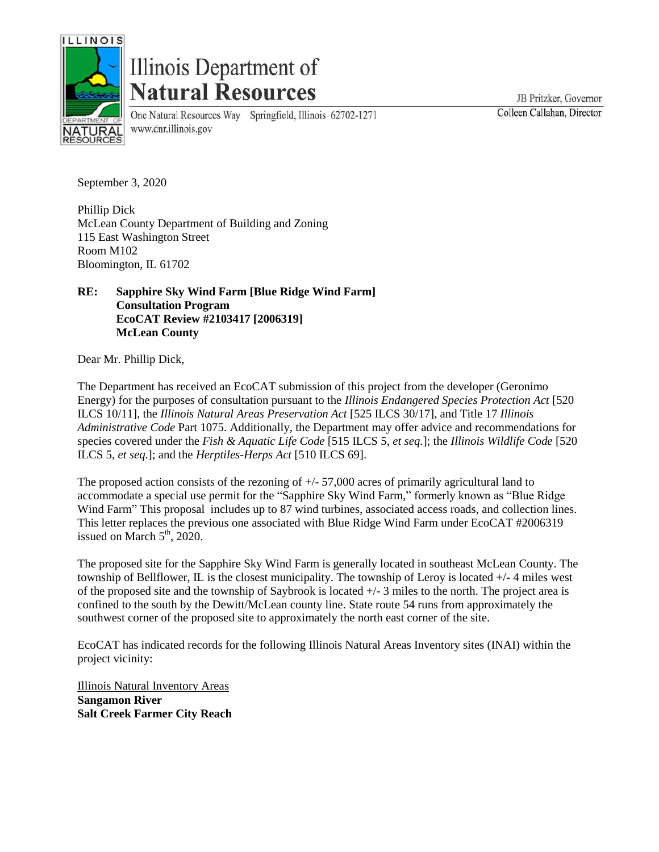

# Illinois Department of **Natural Resources**

www.dnr.illinois.gov

One Natural Resources Way Springfield, Illinois 62702-1271

JB Pritzker, Governor Colleen Callahan, Director

September 3, 2020

Phillip Dick McLean County Department of Building and Zoning 115 East Washington Street Room M102 Bloomington, IL 61702

## **RE: Sapphire Sky Wind Farm [Blue Ridge Wind Farm] Consultation Program EcoCAT Review #2103417 [2006319] McLean County**

Dear Mr. Phillip Dick,

The Department has received an EcoCAT submission of this project from the developer (Geronimo Energy) for the purposes of consultation pursuant to the *Illinois Endangered Species Protection Act* [520 ILCS 10/11], the *Illinois Natural Areas Preservation Act* [525 ILCS 30/17], and Title 17 *Illinois Administrative Code* Part 1075. Additionally, the Department may offer advice and recommendations for species covered under the *Fish & Aquatic Life Code* [515 ILCS 5, *et seq.*]; the *Illinois Wildlife Code* [520 ILCS 5, *et seq*.]; and the *Herptiles-Herps Act* [510 ILCS 69].

The proposed action consists of the rezoning of  $+/- 57,000$  acres of primarily agricultural land to accommodate a special use permit for the "Sapphire Sky Wind Farm," formerly known as "Blue Ridge Wind Farm" This proposal includes up to 87 wind turbines, associated access roads, and collection lines. This letter replaces the previous one associated with Blue Ridge Wind Farm under EcoCAT #2006319 issued on March  $5<sup>th</sup>$ , 2020.

The proposed site for the Sapphire Sky Wind Farm is generally located in southeast McLean County. The township of Bellflower, IL is the closest municipality. The township of Leroy is located +/- 4 miles west of the proposed site and the township of Saybrook is located +/- 3 miles to the north. The project area is confined to the south by the Dewitt/McLean county line. State route 54 runs from approximately the southwest corner of the proposed site to approximately the north east corner of the site.

EcoCAT has indicated records for the following Illinois Natural Areas Inventory sites (INAI) within the project vicinity:

Illinois Natural Inventory Areas **Sangamon River Salt Creek Farmer City Reach**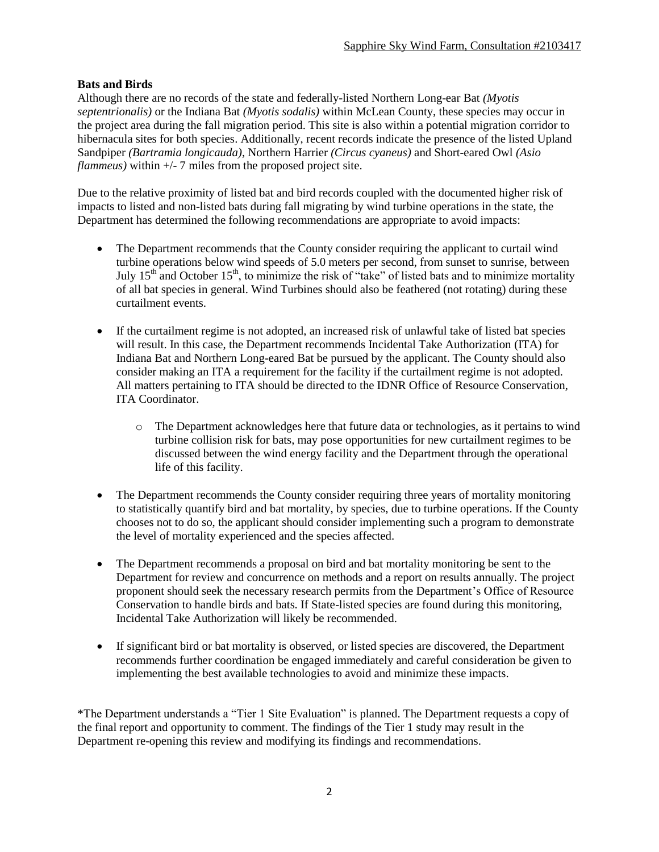## **Bats and Birds**

Although there are no records of the state and federally-listed Northern Long-ear Bat *(Myotis septentrionalis)* or the Indiana Bat *(Myotis sodalis)* within McLean County, these species may occur in the project area during the fall migration period. This site is also within a potential migration corridor to hibernacula sites for both species. Additionally, recent records indicate the presence of the listed Upland Sandpiper *(Bartramia longicauda)*, Northern Harrier *(Circus cyaneus)* and Short-eared Owl *(Asio flammeus*) within  $+/-$  7 miles from the proposed project site.

Due to the relative proximity of listed bat and bird records coupled with the documented higher risk of impacts to listed and non-listed bats during fall migrating by wind turbine operations in the state, the Department has determined the following recommendations are appropriate to avoid impacts:

- The Department recommends that the County consider requiring the applicant to curtail wind turbine operations below wind speeds of 5.0 meters per second, from sunset to sunrise, between July  $15<sup>th</sup>$  and October  $15<sup>th</sup>$ , to minimize the risk of "take" of listed bats and to minimize mortality of all bat species in general. Wind Turbines should also be feathered (not rotating) during these curtailment events.
- If the curtailment regime is not adopted, an increased risk of unlawful take of listed bat species will result. In this case, the Department recommends Incidental Take Authorization (ITA) for Indiana Bat and Northern Long-eared Bat be pursued by the applicant. The County should also consider making an ITA a requirement for the facility if the curtailment regime is not adopted. All matters pertaining to ITA should be directed to the IDNR Office of Resource Conservation, ITA Coordinator.
	- o The Department acknowledges here that future data or technologies, as it pertains to wind turbine collision risk for bats, may pose opportunities for new curtailment regimes to be discussed between the wind energy facility and the Department through the operational life of this facility.
- The Department recommends the County consider requiring three years of mortality monitoring to statistically quantify bird and bat mortality, by species, due to turbine operations. If the County chooses not to do so, the applicant should consider implementing such a program to demonstrate the level of mortality experienced and the species affected.
- The Department recommends a proposal on bird and bat mortality monitoring be sent to the Department for review and concurrence on methods and a report on results annually. The project proponent should seek the necessary research permits from the Department's Office of Resource Conservation to handle birds and bats. If State-listed species are found during this monitoring, Incidental Take Authorization will likely be recommended.
- If significant bird or bat mortality is observed, or listed species are discovered, the Department recommends further coordination be engaged immediately and careful consideration be given to implementing the best available technologies to avoid and minimize these impacts.

\*The Department understands a "Tier 1 Site Evaluation" is planned. The Department requests a copy of the final report and opportunity to comment. The findings of the Tier 1 study may result in the Department re-opening this review and modifying its findings and recommendations.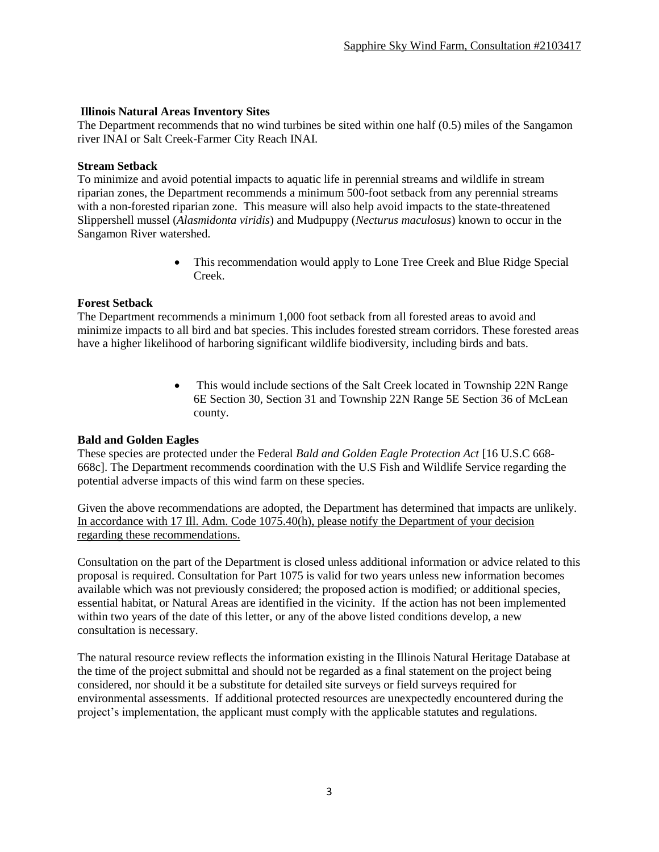## **Illinois Natural Areas Inventory Sites**

The Department recommends that no wind turbines be sited within one half (0.5) miles of the Sangamon river INAI or Salt Creek-Farmer City Reach INAI.

#### **Stream Setback**

To minimize and avoid potential impacts to aquatic life in perennial streams and wildlife in stream riparian zones, the Department recommends a minimum 500-foot setback from any perennial streams with a non-forested riparian zone. This measure will also help avoid impacts to the state-threatened Slippershell mussel (*Alasmidonta viridis*) and Mudpuppy (*Necturus maculosus*) known to occur in the Sangamon River watershed.

> This recommendation would apply to Lone Tree Creek and Blue Ridge Special Creek.

### **Forest Setback**

The Department recommends a minimum 1,000 foot setback from all forested areas to avoid and minimize impacts to all bird and bat species. This includes forested stream corridors. These forested areas have a higher likelihood of harboring significant wildlife biodiversity, including birds and bats.

> • This would include sections of the Salt Creek located in Township 22N Range 6E Section 30, Section 31 and Township 22N Range 5E Section 36 of McLean county.

#### **Bald and Golden Eagles**

These species are protected under the Federal *Bald and Golden Eagle Protection Act* [16 U.S.C 668- 668c]. The Department recommends coordination with the U.S Fish and Wildlife Service regarding the potential adverse impacts of this wind farm on these species.

Given the above recommendations are adopted, the Department has determined that impacts are unlikely. In accordance with 17 Ill. Adm. Code 1075.40(h), please notify the Department of your decision regarding these recommendations.

Consultation on the part of the Department is closed unless additional information or advice related to this proposal is required. Consultation for Part 1075 is valid for two years unless new information becomes available which was not previously considered; the proposed action is modified; or additional species, essential habitat, or Natural Areas are identified in the vicinity. If the action has not been implemented within two years of the date of this letter, or any of the above listed conditions develop, a new consultation is necessary.

The natural resource review reflects the information existing in the Illinois Natural Heritage Database at the time of the project submittal and should not be regarded as a final statement on the project being considered, nor should it be a substitute for detailed site surveys or field surveys required for environmental assessments. If additional protected resources are unexpectedly encountered during the project's implementation, the applicant must comply with the applicable statutes and regulations.